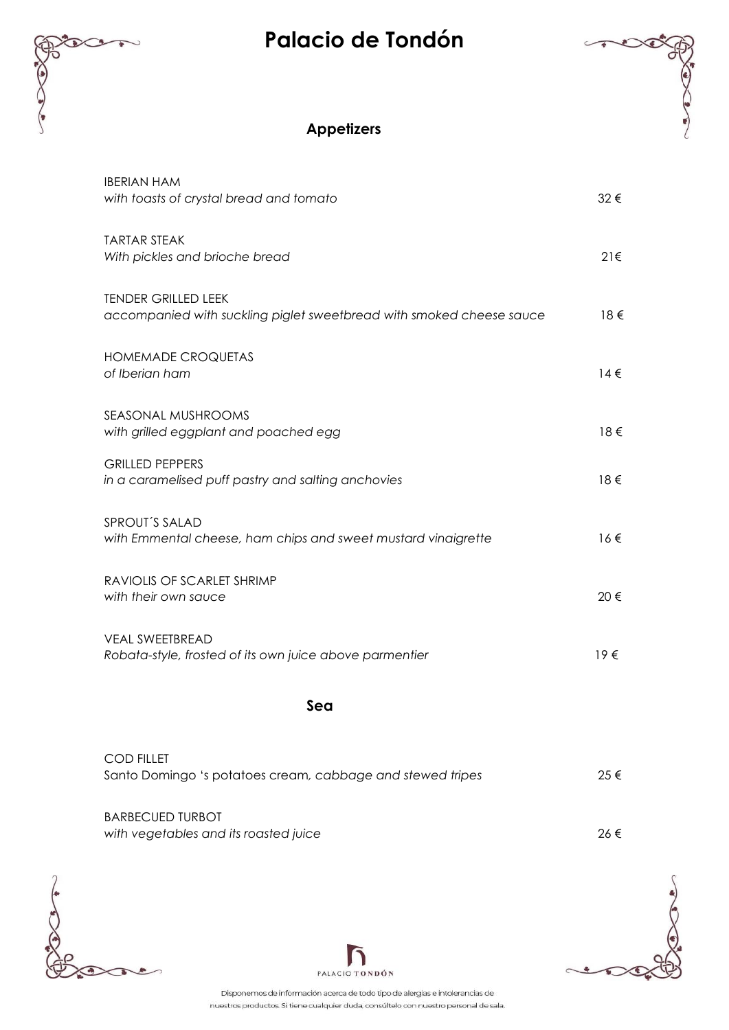## **Palacio de Tondón**



| <b>IBERIAN HAM</b><br>with toasts of crystal bread and tomato                                      | 32€      |
|----------------------------------------------------------------------------------------------------|----------|
| <b>TARTAR STEAK</b><br>With pickles and brioche bread                                              | 21€      |
| <b>TENDER GRILLED LEEK</b><br>accompanied with suckling piglet sweetbread with smoked cheese sauce | 18€      |
| <b>HOMEMADE CROQUETAS</b><br>of Iberian ham                                                        | $14 \in$ |
| SEASONAL MUSHROOMS<br>with grilled eggplant and poached egg                                        | 18€      |
| <b>GRILLED PEPPERS</b><br>in a caramelised puff pastry and salting anchovies                       | 18€      |
| SPROUT'S SALAD<br>with Emmental cheese, ham chips and sweet mustard vinaigrette                    | $16 \in$ |
| RAVIOLIS OF SCARLET SHRIMP<br>with their own sauce                                                 | 20€      |
| <b>VEAL SWEETBREAD</b><br>Robata-style, frosted of its own juice above parmentier                  | $19 \in$ |
| Sea                                                                                                |          |
| <b>COD FILLET</b>                                                                                  |          |

Santo Domingo 's potatoes cream*, cabbage and stewed tripes* 25 € BARBECUED TURBOT *with vegetables and its roasted juice* 26 €







Disponemos de información acerca de todo tipo de alergias e intolerancias de nuestros productos. Si tiene cualquier duda, consúltelo con nuestro personal de sala.